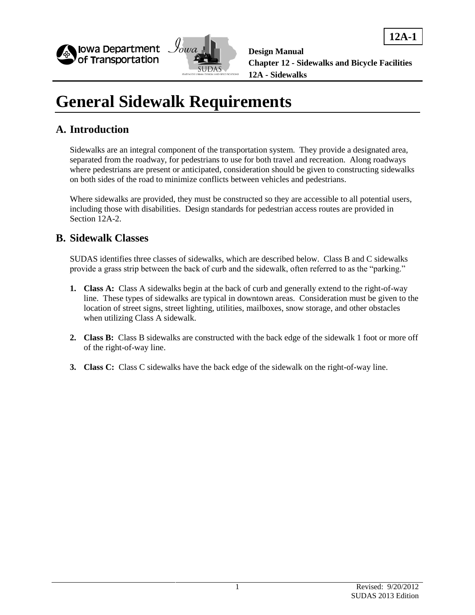



**12A-1**

# **General Sidewalk Requirements**

#### **A. Introduction**

Sidewalks are an integral component of the transportation system. They provide a designated area, separated from the roadway, for pedestrians to use for both travel and recreation. Along roadways where pedestrians are present or anticipated, consideration should be given to constructing sidewalks on both sides of the road to minimize conflicts between vehicles and pedestrians.

Where sidewalks are provided, they must be constructed so they are accessible to all potential users, including those with disabilities. Design standards for pedestrian access routes are provided in Section 12A-2.

#### **B. Sidewalk Classes**

SUDAS identifies three classes of sidewalks, which are described below. Class B and C sidewalks provide a grass strip between the back of curb and the sidewalk, often referred to as the "parking."

- **1. Class A:** Class A sidewalks begin at the back of curb and generally extend to the right-of-way line. These types of sidewalks are typical in downtown areas. Consideration must be given to the location of street signs, street lighting, utilities, mailboxes, snow storage, and other obstacles when utilizing Class A sidewalk.
- **2. Class B:** Class B sidewalks are constructed with the back edge of the sidewalk 1 foot or more off of the right-of-way line.
- **3. Class C:** Class C sidewalks have the back edge of the sidewalk on the right-of-way line.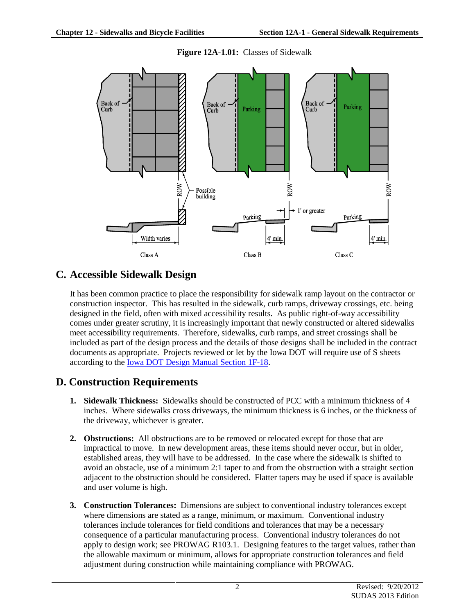

**Figure 12A-1.01:** Classes of Sidewalk

### **C. Accessible Sidewalk Design**

It has been common practice to place the responsibility for sidewalk ramp layout on the contractor or construction inspector. This has resulted in the sidewalk, curb ramps, driveway crossings, etc. being designed in the field, often with mixed accessibility results. As public right-of-way accessibility comes under greater scrutiny, it is increasingly important that newly constructed or altered sidewalks meet accessibility requirements. Therefore, sidewalks, curb ramps, and street crossings shall be included as part of the design process and the details of those designs shall be included in the contract documents as appropriate. Projects reviewed or let by the Iowa DOT will require use of S sheets according to th[e Iowa DOT Design Manual Section 1F-18.](http://www.iowadot.gov/design/dmanual/01F-18.pdf)

### **D. Construction Requirements**

- **1. Sidewalk Thickness:** Sidewalks should be constructed of PCC with a minimum thickness of 4 inches. Where sidewalks cross driveways, the minimum thickness is 6 inches, or the thickness of the driveway, whichever is greater.
- **2. Obstructions:** All obstructions are to be removed or relocated except for those that are impractical to move. In new development areas, these items should never occur, but in older, established areas, they will have to be addressed. In the case where the sidewalk is shifted to avoid an obstacle, use of a minimum 2:1 taper to and from the obstruction with a straight section adjacent to the obstruction should be considered. Flatter tapers may be used if space is available and user volume is high.
- **3. Construction Tolerances:** Dimensions are subject to conventional industry tolerances except where dimensions are stated as a range, minimum, or maximum. Conventional industry tolerances include tolerances for field conditions and tolerances that may be a necessary consequence of a particular manufacturing process. Conventional industry tolerances do not apply to design work; see PROWAG R103.1. Designing features to the target values, rather than the allowable maximum or minimum, allows for appropriate construction tolerances and field adjustment during construction while maintaining compliance with PROWAG.